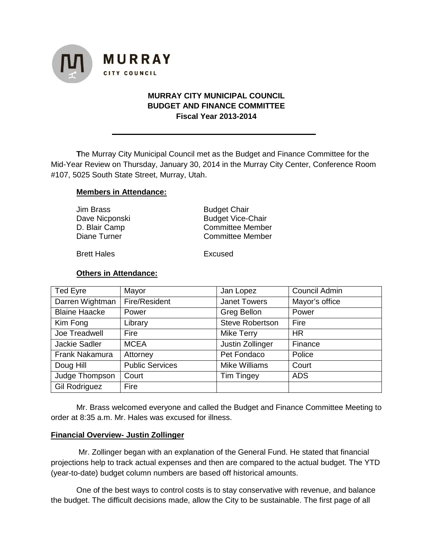

# **MURRAY CITY MUNICIPAL COUNCIL BUDGET AND FINANCE COMMITTEE Fiscal Year 2013-2014**

**T**he Murray City Municipal Council met as the Budget and Finance Committee for the Mid-Year Review on Thursday, January 30, 2014 in the Murray City Center, Conference Room #107, 5025 South State Street, Murray, Utah.

## **Members in Attendance:**

| Jim Brass      | <b>Budget Chair</b>      |  |
|----------------|--------------------------|--|
| Dave Nicponski | <b>Budget Vice-Chair</b> |  |
| D. Blair Camp  | <b>Committee Member</b>  |  |
| Diane Turner   | <b>Committee Member</b>  |  |
|                |                          |  |

Brett Hales Excused

### **Others in Attendance:**

| <b>Ted Eyre</b>      | Mayor                  | Jan Lopez              | Council Admin  |
|----------------------|------------------------|------------------------|----------------|
| Darren Wightman      | Fire/Resident          | <b>Janet Towers</b>    | Mayor's office |
| <b>Blaine Haacke</b> | Power                  | <b>Greg Bellon</b>     | Power          |
| Kim Fong             | Library                | <b>Steve Robertson</b> | Fire           |
| Joe Treadwell        | Fire                   | Mike Terry             | <b>HR</b>      |
| Jackie Sadler        | <b>MCEA</b>            | Justin Zollinger       | Finance        |
| Frank Nakamura       | Attorney               | Pet Fondaco            | Police         |
| Doug Hill            | <b>Public Services</b> | <b>Mike Williams</b>   | Court          |
| Judge Thompson       | Court                  | <b>Tim Tingey</b>      | <b>ADS</b>     |
| <b>Gil Rodriguez</b> | Fire                   |                        |                |

Mr. Brass welcomed everyone and called the Budget and Finance Committee Meeting to order at 8:35 a.m. Mr. Hales was excused for illness.

### **Financial Overview- Justin Zollinger**

Mr. Zollinger began with an explanation of the General Fund. He stated that financial projections help to track actual expenses and then are compared to the actual budget. The YTD (year-to-date) budget column numbers are based off historical amounts.

One of the best ways to control costs is to stay conservative with revenue, and balance the budget. The difficult decisions made, allow the City to be sustainable. The first page of all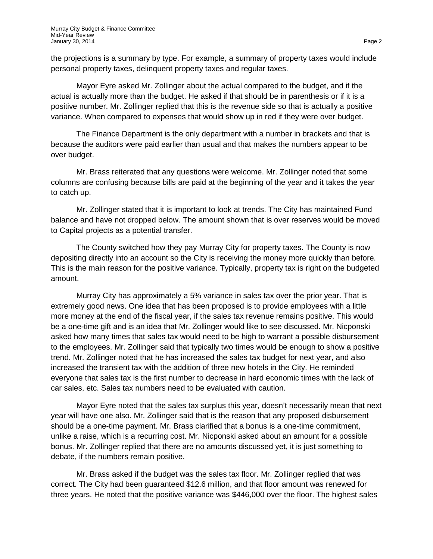the projections is a summary by type. For example, a summary of property taxes would include personal property taxes, delinquent property taxes and regular taxes.

Mayor Eyre asked Mr. Zollinger about the actual compared to the budget, and if the actual is actually more than the budget. He asked if that should be in parenthesis or if it is a positive number. Mr. Zollinger replied that this is the revenue side so that is actually a positive variance. When compared to expenses that would show up in red if they were over budget.

The Finance Department is the only department with a number in brackets and that is because the auditors were paid earlier than usual and that makes the numbers appear to be over budget.

Mr. Brass reiterated that any questions were welcome. Mr. Zollinger noted that some columns are confusing because bills are paid at the beginning of the year and it takes the year to catch up.

Mr. Zollinger stated that it is important to look at trends. The City has maintained Fund balance and have not dropped below. The amount shown that is over reserves would be moved to Capital projects as a potential transfer.

The County switched how they pay Murray City for property taxes. The County is now depositing directly into an account so the City is receiving the money more quickly than before. This is the main reason for the positive variance. Typically, property tax is right on the budgeted amount.

Murray City has approximately a 5% variance in sales tax over the prior year. That is extremely good news. One idea that has been proposed is to provide employees with a little more money at the end of the fiscal year, if the sales tax revenue remains positive. This would be a one-time gift and is an idea that Mr. Zollinger would like to see discussed. Mr. Nicponski asked how many times that sales tax would need to be high to warrant a possible disbursement to the employees. Mr. Zollinger said that typically two times would be enough to show a positive trend. Mr. Zollinger noted that he has increased the sales tax budget for next year, and also increased the transient tax with the addition of three new hotels in the City. He reminded everyone that sales tax is the first number to decrease in hard economic times with the lack of car sales, etc. Sales tax numbers need to be evaluated with caution.

Mayor Eyre noted that the sales tax surplus this year, doesn't necessarily mean that next year will have one also. Mr. Zollinger said that is the reason that any proposed disbursement should be a one-time payment. Mr. Brass clarified that a bonus is a one-time commitment, unlike a raise, which is a recurring cost. Mr. Nicponski asked about an amount for a possible bonus. Mr. Zollinger replied that there are no amounts discussed yet, it is just something to debate, if the numbers remain positive.

Mr. Brass asked if the budget was the sales tax floor. Mr. Zollinger replied that was correct. The City had been guaranteed \$12.6 million, and that floor amount was renewed for three years. He noted that the positive variance was \$446,000 over the floor. The highest sales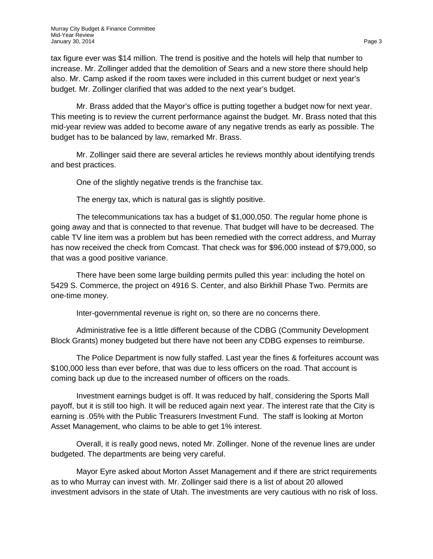tax figure ever was \$14 million. The trend is positive and the hotels will help that number to increase. Mr. Zollinger added that the demolition of Sears and a new store there should help also. Mr. Camp asked if the room taxes were included in this current budget or next year's budget. Mr. Zollinger clarified that was added to the next year's budget.

Mr. Brass added that the Mayor's office is putting together a budget now for next year. This meeting is to review the current performance against the budget. Mr. Brass noted that this mid-year review was added to become aware of any negative trends as early as possible. The budget has to be balanced by law, remarked Mr. Brass.

Mr. Zollinger said there are several articles he reviews monthly about identifying trends and best practices.

One of the slightly negative trends is the franchise tax.

The energy tax, which is natural gas is slightly positive.

The telecommunications tax has a budget of \$1,000,050. The regular home phone is going away and that is connected to that revenue. That budget will have to be decreased. The cable TV line item was a problem but has been remedied with the correct address, and Murray has now received the check from Comcast. That check was for \$96,000 instead of \$79,000, so that was a good positive variance.

There have been some large building permits pulled this year: including the hotel on 5429 S. Commerce, the project on 4916 S. Center, and also Birkhill Phase Two. Permits are one-time money.

Inter-governmental revenue is right on, so there are no concerns there.

Administrative fee is a little different because of the CDBG (Community Development Block Grants) money budgeted but there have not been any CDBG expenses to reimburse.

The Police Department is now fully staffed. Last year the fines & forfeitures account was \$100,000 less than ever before, that was due to less officers on the road. That account is coming back up due to the increased number of officers on the roads.

Investment earnings budget is off. It was reduced by half, considering the Sports Mall payoff, but it is still too high. It will be reduced again next year. The interest rate that the City is earning is .05% with the Public Treasurers Investment Fund. The staff is looking at Morton Asset Management, who claims to be able to get 1% interest.

Overall, it is really good news, noted Mr. Zollinger. None of the revenue lines are under budgeted. The departments are being very careful.

Mayor Eyre asked about Morton Asset Management and if there are strict requirements as to who Murray can invest with. Mr. Zollinger said there is a list of about 20 allowed investment advisors in the state of Utah. The investments are very cautious with no risk of loss.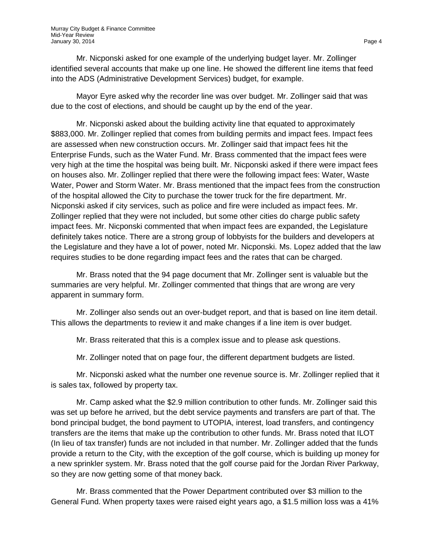Mr. Nicponski asked for one example of the underlying budget layer. Mr. Zollinger identified several accounts that make up one line. He showed the different line items that feed into the ADS (Administrative Development Services) budget, for example.

Mayor Eyre asked why the recorder line was over budget. Mr. Zollinger said that was due to the cost of elections, and should be caught up by the end of the year.

Mr. Nicponski asked about the building activity line that equated to approximately \$883,000. Mr. Zollinger replied that comes from building permits and impact fees. Impact fees are assessed when new construction occurs. Mr. Zollinger said that impact fees hit the Enterprise Funds, such as the Water Fund. Mr. Brass commented that the impact fees were very high at the time the hospital was being built. Mr. Nicponski asked if there were impact fees on houses also. Mr. Zollinger replied that there were the following impact fees: Water, Waste Water, Power and Storm Water. Mr. Brass mentioned that the impact fees from the construction of the hospital allowed the City to purchase the tower truck for the fire department. Mr. Nicponski asked if city services, such as police and fire were included as impact fees. Mr. Zollinger replied that they were not included, but some other cities do charge public safety impact fees. Mr. Nicponski commented that when impact fees are expanded, the Legislature definitely takes notice. There are a strong group of lobbyists for the builders and developers at the Legislature and they have a lot of power, noted Mr. Nicponski. Ms. Lopez added that the law requires studies to be done regarding impact fees and the rates that can be charged.

Mr. Brass noted that the 94 page document that Mr. Zollinger sent is valuable but the summaries are very helpful. Mr. Zollinger commented that things that are wrong are very apparent in summary form.

Mr. Zollinger also sends out an over-budget report, and that is based on line item detail. This allows the departments to review it and make changes if a line item is over budget.

Mr. Brass reiterated that this is a complex issue and to please ask questions.

Mr. Zollinger noted that on page four, the different department budgets are listed.

Mr. Nicponski asked what the number one revenue source is. Mr. Zollinger replied that it is sales tax, followed by property tax.

Mr. Camp asked what the \$2.9 million contribution to other funds. Mr. Zollinger said this was set up before he arrived, but the debt service payments and transfers are part of that. The bond principal budget, the bond payment to UTOPIA, interest, load transfers, and contingency transfers are the items that make up the contribution to other funds. Mr. Brass noted that ILOT (In lieu of tax transfer) funds are not included in that number. Mr. Zollinger added that the funds provide a return to the City, with the exception of the golf course, which is building up money for a new sprinkler system. Mr. Brass noted that the golf course paid for the Jordan River Parkway, so they are now getting some of that money back.

Mr. Brass commented that the Power Department contributed over \$3 million to the General Fund. When property taxes were raised eight years ago, a \$1.5 million loss was a 41%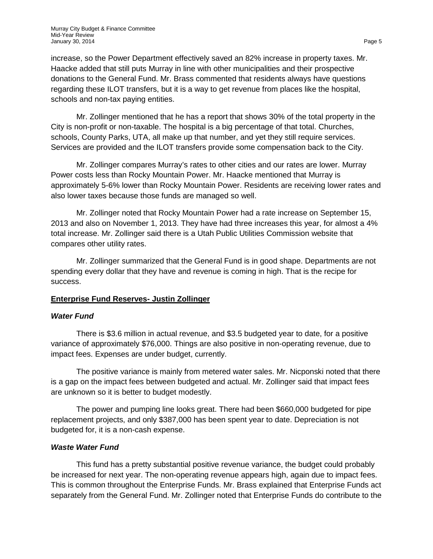increase, so the Power Department effectively saved an 82% increase in property taxes. Mr. Haacke added that still puts Murray in line with other municipalities and their prospective donations to the General Fund. Mr. Brass commented that residents always have questions regarding these ILOT transfers, but it is a way to get revenue from places like the hospital, schools and non-tax paying entities.

Mr. Zollinger mentioned that he has a report that shows 30% of the total property in the City is non-profit or non-taxable. The hospital is a big percentage of that total. Churches, schools, County Parks, UTA, all make up that number, and yet they still require services. Services are provided and the ILOT transfers provide some compensation back to the City.

Mr. Zollinger compares Murray's rates to other cities and our rates are lower. Murray Power costs less than Rocky Mountain Power. Mr. Haacke mentioned that Murray is approximately 5-6% lower than Rocky Mountain Power. Residents are receiving lower rates and also lower taxes because those funds are managed so well.

Mr. Zollinger noted that Rocky Mountain Power had a rate increase on September 15, 2013 and also on November 1, 2013. They have had three increases this year, for almost a 4% total increase. Mr. Zollinger said there is a Utah Public Utilities Commission website that compares other utility rates.

Mr. Zollinger summarized that the General Fund is in good shape. Departments are not spending every dollar that they have and revenue is coming in high. That is the recipe for success.

## **Enterprise Fund Reserves- Justin Zollinger**

## *Water Fund*

There is \$3.6 million in actual revenue, and \$3.5 budgeted year to date, for a positive variance of approximately \$76,000. Things are also positive in non-operating revenue, due to impact fees. Expenses are under budget, currently.

The positive variance is mainly from metered water sales. Mr. Nicponski noted that there is a gap on the impact fees between budgeted and actual. Mr. Zollinger said that impact fees are unknown so it is better to budget modestly.

The power and pumping line looks great. There had been \$660,000 budgeted for pipe replacement projects, and only \$387,000 has been spent year to date. Depreciation is not budgeted for, it is a non-cash expense.

## *Waste Water Fund*

This fund has a pretty substantial positive revenue variance, the budget could probably be increased for next year. The non-operating revenue appears high, again due to impact fees. This is common throughout the Enterprise Funds. Mr. Brass explained that Enterprise Funds act separately from the General Fund. Mr. Zollinger noted that Enterprise Funds do contribute to the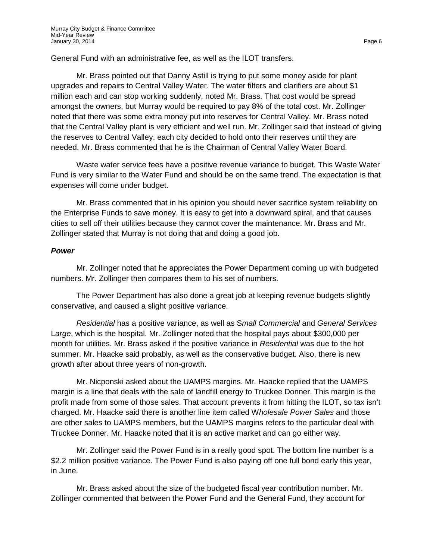General Fund with an administrative fee, as well as the ILOT transfers.

Mr. Brass pointed out that Danny Astill is trying to put some money aside for plant upgrades and repairs to Central Valley Water. The water filters and clarifiers are about \$1 million each and can stop working suddenly, noted Mr. Brass. That cost would be spread amongst the owners, but Murray would be required to pay 8% of the total cost. Mr. Zollinger noted that there was some extra money put into reserves for Central Valley. Mr. Brass noted that the Central Valley plant is very efficient and well run. Mr. Zollinger said that instead of giving the reserves to Central Valley, each city decided to hold onto their reserves until they are needed. Mr. Brass commented that he is the Chairman of Central Valley Water Board.

Waste water service fees have a positive revenue variance to budget. This Waste Water Fund is very similar to the Water Fund and should be on the same trend. The expectation is that expenses will come under budget.

Mr. Brass commented that in his opinion you should never sacrifice system reliability on the Enterprise Funds to save money. It is easy to get into a downward spiral, and that causes cities to sell off their utilities because they cannot cover the maintenance. Mr. Brass and Mr. Zollinger stated that Murray is not doing that and doing a good job.

### *Power*

Mr. Zollinger noted that he appreciates the Power Department coming up with budgeted numbers. Mr. Zollinger then compares them to his set of numbers.

The Power Department has also done a great job at keeping revenue budgets slightly conservative, and caused a slight positive variance.

*Residential* has a positive variance, as well as S*mall Commercial* and *General Services* L*arge*, which is the hospital. Mr. Zollinger noted that the hospital pays about \$300,000 per month for utilities. Mr. Brass asked if the positive variance in *Residential* was due to the hot summer. Mr. Haacke said probably, as well as the conservative budget. Also, there is new growth after about three years of non-growth.

Mr. Nicponski asked about the UAMPS margins. Mr. Haacke replied that the UAMPS margin is a line that deals with the sale of landfill energy to Truckee Donner. This margin is the profit made from some of those sales. That account prevents it from hitting the ILOT, so tax isn't charged. Mr. Haacke said there is another line item called W*holesale Power Sales* and those are other sales to UAMPS members, but the UAMPS margins refers to the particular deal with Truckee Donner. Mr. Haacke noted that it is an active market and can go either way.

Mr. Zollinger said the Power Fund is in a really good spot. The bottom line number is a \$2.2 million positive variance. The Power Fund is also paying off one full bond early this year, in June.

Mr. Brass asked about the size of the budgeted fiscal year contribution number. Mr. Zollinger commented that between the Power Fund and the General Fund, they account for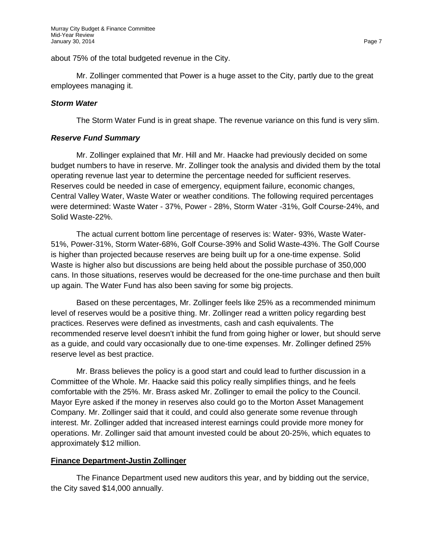about 75% of the total budgeted revenue in the City.

Mr. Zollinger commented that Power is a huge asset to the City, partly due to the great employees managing it.

## *Storm Water*

The Storm Water Fund is in great shape. The revenue variance on this fund is very slim.

## *Reserve Fund Summary*

Mr. Zollinger explained that Mr. Hill and Mr. Haacke had previously decided on some budget numbers to have in reserve. Mr. Zollinger took the analysis and divided them by the total operating revenue last year to determine the percentage needed for sufficient reserves. Reserves could be needed in case of emergency, equipment failure, economic changes, Central Valley Water, Waste Water or weather conditions. The following required percentages were determined: Waste Water - 37%, Power - 28%, Storm Water -31%, Golf Course-24%, and Solid Waste-22%.

The actual current bottom line percentage of reserves is: Water- 93%, Waste Water-51%, Power-31%, Storm Water-68%, Golf Course-39% and Solid Waste-43%. The Golf Course is higher than projected because reserves are being built up for a one-time expense. Solid Waste is higher also but discussions are being held about the possible purchase of 350,000 cans. In those situations, reserves would be decreased for the one-time purchase and then built up again. The Water Fund has also been saving for some big projects.

Based on these percentages, Mr. Zollinger feels like 25% as a recommended minimum level of reserves would be a positive thing. Mr. Zollinger read a written policy regarding best practices. Reserves were defined as investments, cash and cash equivalents. The recommended reserve level doesn't inhibit the fund from going higher or lower, but should serve as a guide, and could vary occasionally due to one-time expenses. Mr. Zollinger defined 25% reserve level as best practice.

Mr. Brass believes the policy is a good start and could lead to further discussion in a Committee of the Whole. Mr. Haacke said this policy really simplifies things, and he feels comfortable with the 25%. Mr. Brass asked Mr. Zollinger to email the policy to the Council. Mayor Eyre asked if the money in reserves also could go to the Morton Asset Management Company. Mr. Zollinger said that it could, and could also generate some revenue through interest. Mr. Zollinger added that increased interest earnings could provide more money for operations. Mr. Zollinger said that amount invested could be about 20-25%, which equates to approximately \$12 million.

## **Finance Department-Justin Zollinger**

The Finance Department used new auditors this year, and by bidding out the service, the City saved \$14,000 annually.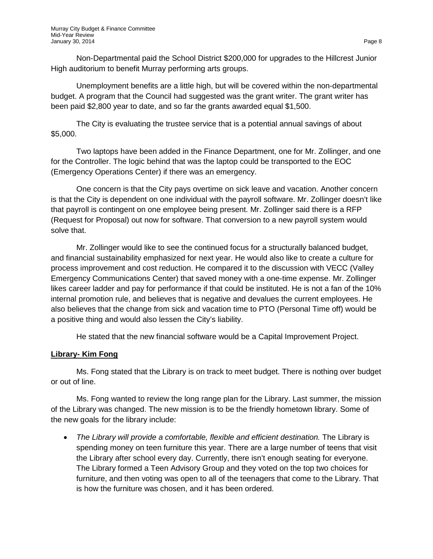Non-Departmental paid the School District \$200,000 for upgrades to the Hillcrest Junior High auditorium to benefit Murray performing arts groups.

Unemployment benefits are a little high, but will be covered within the non-departmental budget. A program that the Council had suggested was the grant writer. The grant writer has been paid \$2,800 year to date, and so far the grants awarded equal \$1,500.

The City is evaluating the trustee service that is a potential annual savings of about \$5,000.

Two laptops have been added in the Finance Department, one for Mr. Zollinger, and one for the Controller. The logic behind that was the laptop could be transported to the EOC (Emergency Operations Center) if there was an emergency.

One concern is that the City pays overtime on sick leave and vacation. Another concern is that the City is dependent on one individual with the payroll software. Mr. Zollinger doesn't like that payroll is contingent on one employee being present. Mr. Zollinger said there is a RFP (Request for Proposal) out now for software. That conversion to a new payroll system would solve that.

Mr. Zollinger would like to see the continued focus for a structurally balanced budget, and financial sustainability emphasized for next year. He would also like to create a culture for process improvement and cost reduction. He compared it to the discussion with VECC (Valley Emergency Communications Center) that saved money with a one-time expense. Mr. Zollinger likes career ladder and pay for performance if that could be instituted. He is not a fan of the 10% internal promotion rule, and believes that is negative and devalues the current employees. He also believes that the change from sick and vacation time to PTO (Personal Time off) would be a positive thing and would also lessen the City's liability.

He stated that the new financial software would be a Capital Improvement Project.

## **Library- Kim Fong**

Ms. Fong stated that the Library is on track to meet budget. There is nothing over budget or out of line.

Ms. Fong wanted to review the long range plan for the Library. Last summer, the mission of the Library was changed. The new mission is to be the friendly hometown library. Some of the new goals for the library include:

• *The Library will provide a comfortable, flexible and efficient destination.* The Library is spending money on teen furniture this year. There are a large number of teens that visit the Library after school every day. Currently, there isn't enough seating for everyone. The Library formed a Teen Advisory Group and they voted on the top two choices for furniture, and then voting was open to all of the teenagers that come to the Library. That is how the furniture was chosen, and it has been ordered.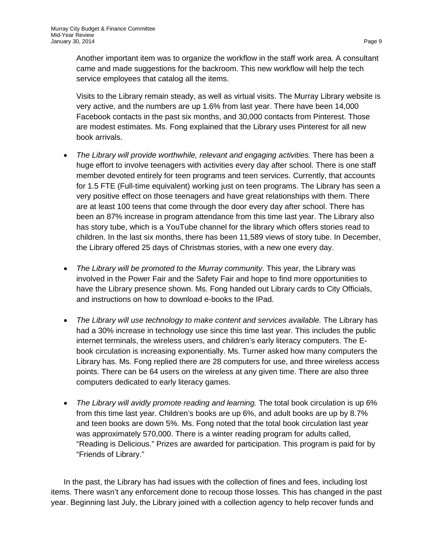Another important item was to organize the workflow in the staff work area. A consultant came and made suggestions for the backroom. This new workflow will help the tech service employees that catalog all the items.

Visits to the Library remain steady, as well as virtual visits. The Murray Library website is very active, and the numbers are up 1.6% from last year. There have been 14,000 Facebook contacts in the past six months, and 30,000 contacts from Pinterest. Those are modest estimates. Ms. Fong explained that the Library uses Pinterest for all new book arrivals.

- *The Library will provide worthwhile, relevant and engaging activities.* There has been a huge effort to involve teenagers with activities every day after school. There is one staff member devoted entirely for teen programs and teen services. Currently, that accounts for 1.5 FTE (Full-time equivalent) working just on teen programs. The Library has seen a very positive effect on those teenagers and have great relationships with them. There are at least 100 teens that come through the door every day after school. There has been an 87% increase in program attendance from this time last year. The Library also has story tube, which is a YouTube channel for the library which offers stories read to children. In the last six months, there has been 11,589 views of story tube. In December, the Library offered 25 days of Christmas stories, with a new one every day.
- *The Library will be promoted to the Murray community*. This year, the Library was involved in the Power Fair and the Safety Fair and hope to find more opportunities to have the Library presence shown. Ms. Fong handed out Library cards to City Officials, and instructions on how to download e-books to the IPad.
- *The Library will use technology to make content and services available.* The Library has had a 30% increase in technology use since this time last year. This includes the public internet terminals, the wireless users, and children's early literacy computers. The Ebook circulation is increasing exponentially. Ms. Turner asked how many computers the Library has. Ms. Fong replied there are 28 computers for use, and three wireless access points. There can be 64 users on the wireless at any given time. There are also three computers dedicated to early literacy games.
- *The Library will avidly promote reading and learning.* The total book circulation is up 6% from this time last year. Children's books are up 6%, and adult books are up by 8.7% and teen books are down 5%. Ms. Fong noted that the total book circulation last year was approximately 570,000. There is a winter reading program for adults called, "Reading is Delicious." Prizes are awarded for participation. This program is paid for by "Friends of Library."

In the past, the Library has had issues with the collection of fines and fees, including lost items. There wasn't any enforcement done to recoup those losses. This has changed in the past year. Beginning last July, the Library joined with a collection agency to help recover funds and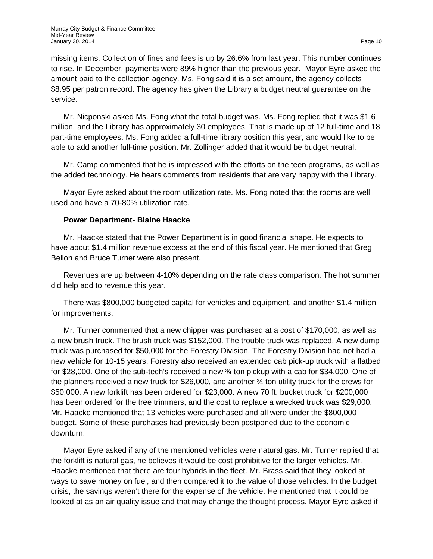missing items. Collection of fines and fees is up by 26.6% from last year. This number continues to rise. In December, payments were 89% higher than the previous year. Mayor Eyre asked the amount paid to the collection agency. Ms. Fong said it is a set amount, the agency collects \$8.95 per patron record. The agency has given the Library a budget neutral guarantee on the service.

Mr. Nicponski asked Ms. Fong what the total budget was. Ms. Fong replied that it was \$1.6 million, and the Library has approximately 30 employees. That is made up of 12 full-time and 18 part-time employees. Ms. Fong added a full-time library position this year, and would like to be able to add another full-time position. Mr. Zollinger added that it would be budget neutral.

Mr. Camp commented that he is impressed with the efforts on the teen programs, as well as the added technology. He hears comments from residents that are very happy with the Library.

Mayor Eyre asked about the room utilization rate. Ms. Fong noted that the rooms are well used and have a 70-80% utilization rate.

## **Power Department- Blaine Haacke**

Mr. Haacke stated that the Power Department is in good financial shape. He expects to have about \$1.4 million revenue excess at the end of this fiscal year. He mentioned that Greg Bellon and Bruce Turner were also present.

Revenues are up between 4-10% depending on the rate class comparison. The hot summer did help add to revenue this year.

There was \$800,000 budgeted capital for vehicles and equipment, and another \$1.4 million for improvements.

Mr. Turner commented that a new chipper was purchased at a cost of \$170,000, as well as a new brush truck. The brush truck was \$152,000. The trouble truck was replaced. A new dump truck was purchased for \$50,000 for the Forestry Division. The Forestry Division had not had a new vehicle for 10-15 years. Forestry also received an extended cab pick-up truck with a flatbed for \$28,000. One of the sub-tech's received a new ¾ ton pickup with a cab for \$34,000. One of the planners received a new truck for \$26,000, and another ¾ ton utility truck for the crews for \$50,000. A new forklift has been ordered for \$23,000. A new 70 ft. bucket truck for \$200,000 has been ordered for the tree trimmers, and the cost to replace a wrecked truck was \$29,000. Mr. Haacke mentioned that 13 vehicles were purchased and all were under the \$800,000 budget. Some of these purchases had previously been postponed due to the economic downturn.

Mayor Eyre asked if any of the mentioned vehicles were natural gas. Mr. Turner replied that the forklift is natural gas, he believes it would be cost prohibitive for the larger vehicles. Mr. Haacke mentioned that there are four hybrids in the fleet. Mr. Brass said that they looked at ways to save money on fuel, and then compared it to the value of those vehicles. In the budget crisis, the savings weren't there for the expense of the vehicle. He mentioned that it could be looked at as an air quality issue and that may change the thought process. Mayor Eyre asked if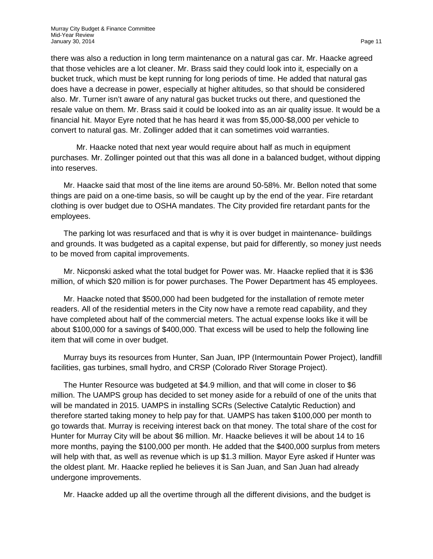there was also a reduction in long term maintenance on a natural gas car. Mr. Haacke agreed that those vehicles are a lot cleaner. Mr. Brass said they could look into it, especially on a bucket truck, which must be kept running for long periods of time. He added that natural gas does have a decrease in power, especially at higher altitudes, so that should be considered also. Mr. Turner isn't aware of any natural gas bucket trucks out there, and questioned the resale value on them. Mr. Brass said it could be looked into as an air quality issue. It would be a financial hit. Mayor Eyre noted that he has heard it was from \$5,000-\$8,000 per vehicle to convert to natural gas. Mr. Zollinger added that it can sometimes void warranties.

Mr. Haacke noted that next year would require about half as much in equipment purchases. Mr. Zollinger pointed out that this was all done in a balanced budget, without dipping into reserves.

Mr. Haacke said that most of the line items are around 50-58%. Mr. Bellon noted that some things are paid on a one-time basis, so will be caught up by the end of the year. Fire retardant clothing is over budget due to OSHA mandates. The City provided fire retardant pants for the employees.

The parking lot was resurfaced and that is why it is over budget in maintenance- buildings and grounds. It was budgeted as a capital expense, but paid for differently, so money just needs to be moved from capital improvements.

Mr. Nicponski asked what the total budget for Power was. Mr. Haacke replied that it is \$36 million, of which \$20 million is for power purchases. The Power Department has 45 employees.

Mr. Haacke noted that \$500,000 had been budgeted for the installation of remote meter readers. All of the residential meters in the City now have a remote read capability, and they have completed about half of the commercial meters. The actual expense looks like it will be about \$100,000 for a savings of \$400,000. That excess will be used to help the following line item that will come in over budget.

Murray buys its resources from Hunter, San Juan, IPP (Intermountain Power Project), landfill facilities, gas turbines, small hydro, and CRSP (Colorado River Storage Project).

The Hunter Resource was budgeted at \$4.9 million, and that will come in closer to \$6 million. The UAMPS group has decided to set money aside for a rebuild of one of the units that will be mandated in 2015. UAMPS in installing SCRs (Selective Catalytic Reduction) and therefore started taking money to help pay for that. UAMPS has taken \$100,000 per month to go towards that. Murray is receiving interest back on that money. The total share of the cost for Hunter for Murray City will be about \$6 million. Mr. Haacke believes it will be about 14 to 16 more months, paying the \$100,000 per month. He added that the \$400,000 surplus from meters will help with that, as well as revenue which is up \$1.3 million. Mayor Eyre asked if Hunter was the oldest plant. Mr. Haacke replied he believes it is San Juan, and San Juan had already undergone improvements.

Mr. Haacke added up all the overtime through all the different divisions, and the budget is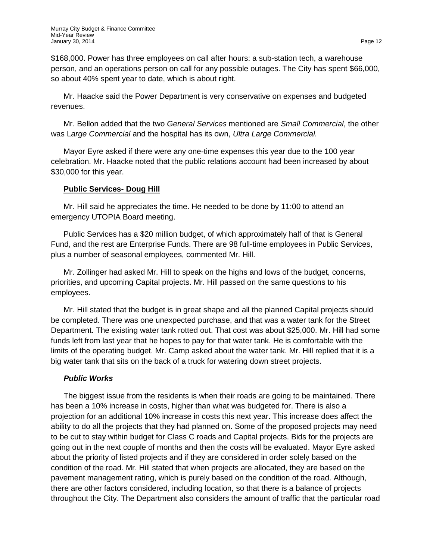\$168,000. Power has three employees on call after hours: a sub-station tech, a warehouse person, and an operations person on call for any possible outages. The City has spent \$66,000, so about 40% spent year to date, which is about right.

Mr. Haacke said the Power Department is very conservative on expenses and budgeted revenues.

Mr. Bellon added that the two *General Services* mentioned are *Small Commercial*, the other was L*arge Commercial* and the hospital has its own, *Ultra Large Commercial.*

Mayor Eyre asked if there were any one-time expenses this year due to the 100 year celebration. Mr. Haacke noted that the public relations account had been increased by about \$30,000 for this year.

## **Public Services- Doug Hill**

Mr. Hill said he appreciates the time. He needed to be done by 11:00 to attend an emergency UTOPIA Board meeting.

Public Services has a \$20 million budget, of which approximately half of that is General Fund, and the rest are Enterprise Funds. There are 98 full-time employees in Public Services, plus a number of seasonal employees, commented Mr. Hill.

Mr. Zollinger had asked Mr. Hill to speak on the highs and lows of the budget, concerns, priorities, and upcoming Capital projects. Mr. Hill passed on the same questions to his employees.

Mr. Hill stated that the budget is in great shape and all the planned Capital projects should be completed. There was one unexpected purchase, and that was a water tank for the Street Department. The existing water tank rotted out. That cost was about \$25,000. Mr. Hill had some funds left from last year that he hopes to pay for that water tank. He is comfortable with the limits of the operating budget. Mr. Camp asked about the water tank. Mr. Hill replied that it is a big water tank that sits on the back of a truck for watering down street projects.

## *Public Works*

The biggest issue from the residents is when their roads are going to be maintained. There has been a 10% increase in costs, higher than what was budgeted for. There is also a projection for an additional 10% increase in costs this next year. This increase does affect the ability to do all the projects that they had planned on. Some of the proposed projects may need to be cut to stay within budget for Class C roads and Capital projects. Bids for the projects are going out in the next couple of months and then the costs will be evaluated. Mayor Eyre asked about the priority of listed projects and if they are considered in order solely based on the condition of the road. Mr. Hill stated that when projects are allocated, they are based on the pavement management rating, which is purely based on the condition of the road. Although, there are other factors considered, including location, so that there is a balance of projects throughout the City. The Department also considers the amount of traffic that the particular road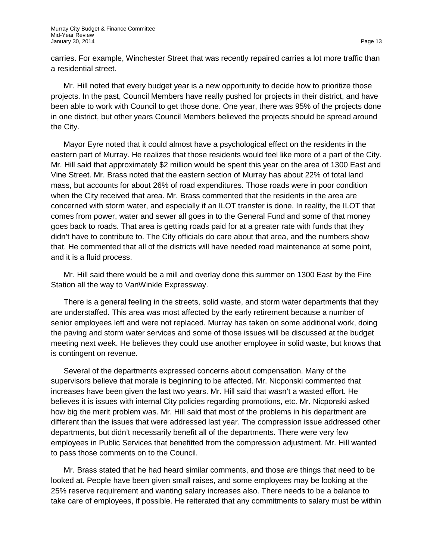carries. For example, Winchester Street that was recently repaired carries a lot more traffic than a residential street.

Mr. Hill noted that every budget year is a new opportunity to decide how to prioritize those projects. In the past, Council Members have really pushed for projects in their district, and have been able to work with Council to get those done. One year, there was 95% of the projects done in one district, but other years Council Members believed the projects should be spread around the City.

Mayor Eyre noted that it could almost have a psychological effect on the residents in the eastern part of Murray. He realizes that those residents would feel like more of a part of the City. Mr. Hill said that approximately \$2 million would be spent this year on the area of 1300 East and Vine Street. Mr. Brass noted that the eastern section of Murray has about 22% of total land mass, but accounts for about 26% of road expenditures. Those roads were in poor condition when the City received that area. Mr. Brass commented that the residents in the area are concerned with storm water, and especially if an ILOT transfer is done. In reality, the ILOT that comes from power, water and sewer all goes in to the General Fund and some of that money goes back to roads. That area is getting roads paid for at a greater rate with funds that they didn't have to contribute to. The City officials do care about that area, and the numbers show that. He commented that all of the districts will have needed road maintenance at some point, and it is a fluid process.

Mr. Hill said there would be a mill and overlay done this summer on 1300 East by the Fire Station all the way to VanWinkle Expressway.

There is a general feeling in the streets, solid waste, and storm water departments that they are understaffed. This area was most affected by the early retirement because a number of senior employees left and were not replaced. Murray has taken on some additional work, doing the paving and storm water services and some of those issues will be discussed at the budget meeting next week. He believes they could use another employee in solid waste, but knows that is contingent on revenue.

Several of the departments expressed concerns about compensation. Many of the supervisors believe that morale is beginning to be affected. Mr. Nicponski commented that increases have been given the last two years. Mr. Hill said that wasn't a wasted effort. He believes it is issues with internal City policies regarding promotions, etc. Mr. Nicponski asked how big the merit problem was. Mr. Hill said that most of the problems in his department are different than the issues that were addressed last year. The compression issue addressed other departments, but didn't necessarily benefit all of the departments. There were very few employees in Public Services that benefitted from the compression adjustment. Mr. Hill wanted to pass those comments on to the Council.

Mr. Brass stated that he had heard similar comments, and those are things that need to be looked at. People have been given small raises, and some employees may be looking at the 25% reserve requirement and wanting salary increases also. There needs to be a balance to take care of employees, if possible. He reiterated that any commitments to salary must be within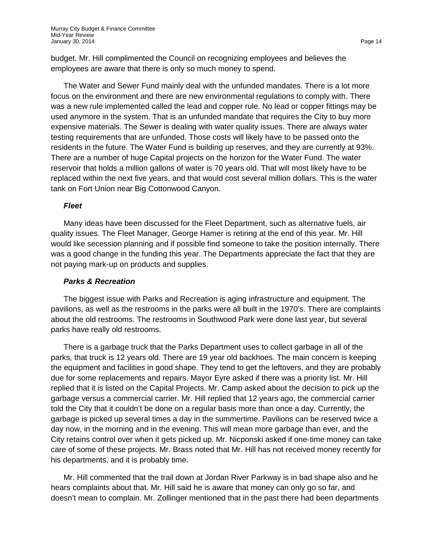budget. Mr. Hill complimented the Council on recognizing employees and believes the employees are aware that there is only so much money to spend.

The Water and Sewer Fund mainly deal with the unfunded mandates. There is a lot more focus on the environment and there are new environmental regulations to comply with. There was a new rule implemented called the lead and copper rule. No lead or copper fittings may be used anymore in the system. That is an unfunded mandate that requires the City to buy more expensive materials. The Sewer is dealing with water quality issues. There are always water testing requirements that are unfunded. Those costs will likely have to be passed onto the residents in the future. The Water Fund is building up reserves, and they are currently at 93%. There are a number of huge Capital projects on the horizon for the Water Fund. The water reservoir that holds a million gallons of water is 70 years old. That will most likely have to be replaced within the next five years, and that would cost several million dollars. This is the water tank on Fort Union near Big Cottonwood Canyon.

#### *Fleet*

Many ideas have been discussed for the Fleet Department, such as alternative fuels, air quality issues. The Fleet Manager, George Hamer is retiring at the end of this year. Mr. Hill would like secession planning and if possible find someone to take the position internally. There was a good change in the funding this year. The Departments appreciate the fact that they are not paying mark-up on products and supplies.

#### *Parks & Recreation*

The biggest issue with Parks and Recreation is aging infrastructure and equipment. The pavilions, as well as the restrooms in the parks were all built in the 1970's. There are complaints about the old restrooms. The restrooms in Southwood Park were done last year, but several parks have really old restrooms.

There is a garbage truck that the Parks Department uses to collect garbage in all of the parks, that truck is 12 years old. There are 19 year old backhoes. The main concern is keeping the equipment and facilities in good shape. They tend to get the leftovers, and they are probably due for some replacements and repairs. Mayor Eyre asked if there was a priority list. Mr. Hill replied that it is listed on the Capital Projects. Mr. Camp asked about the decision to pick up the garbage versus a commercial carrier. Mr. Hill replied that 12 years ago, the commercial carrier told the City that it couldn't be done on a regular basis more than once a day. Currently, the garbage is picked up several times a day in the summertime. Pavilions can be reserved twice a day now, in the morning and in the evening. This will mean more garbage than ever, and the City retains control over when it gets picked up. Mr. Nicponski asked if one-time money can take care of some of these projects. Mr. Brass noted that Mr. Hill has not received money recently for his departments, and it is probably time.

Mr. Hill commented that the trail down at Jordan River Parkway is in bad shape also and he hears complaints about that. Mr. Hill said he is aware that money can only go so far, and doesn't mean to complain. Mr. Zollinger mentioned that in the past there had been departments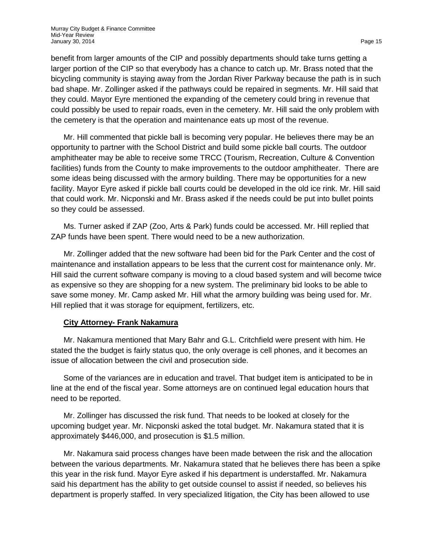benefit from larger amounts of the CIP and possibly departments should take turns getting a larger portion of the CIP so that everybody has a chance to catch up. Mr. Brass noted that the bicycling community is staying away from the Jordan River Parkway because the path is in such bad shape. Mr. Zollinger asked if the pathways could be repaired in segments. Mr. Hill said that they could. Mayor Eyre mentioned the expanding of the cemetery could bring in revenue that could possibly be used to repair roads, even in the cemetery. Mr. Hill said the only problem with the cemetery is that the operation and maintenance eats up most of the revenue.

Mr. Hill commented that pickle ball is becoming very popular. He believes there may be an opportunity to partner with the School District and build some pickle ball courts. The outdoor amphitheater may be able to receive some TRCC (Tourism, Recreation, Culture & Convention facilities) funds from the County to make improvements to the outdoor amphitheater. There are some ideas being discussed with the armory building. There may be opportunities for a new facility. Mayor Eyre asked if pickle ball courts could be developed in the old ice rink. Mr. Hill said that could work. Mr. Nicponski and Mr. Brass asked if the needs could be put into bullet points so they could be assessed.

Ms. Turner asked if ZAP (Zoo, Arts & Park) funds could be accessed. Mr. Hill replied that ZAP funds have been spent. There would need to be a new authorization.

Mr. Zollinger added that the new software had been bid for the Park Center and the cost of maintenance and installation appears to be less that the current cost for maintenance only. Mr. Hill said the current software company is moving to a cloud based system and will become twice as expensive so they are shopping for a new system. The preliminary bid looks to be able to save some money. Mr. Camp asked Mr. Hill what the armory building was being used for. Mr. Hill replied that it was storage for equipment, fertilizers, etc.

## **City Attorney- Frank Nakamura**

Mr. Nakamura mentioned that Mary Bahr and G.L. Critchfield were present with him. He stated the the budget is fairly status quo, the only overage is cell phones, and it becomes an issue of allocation between the civil and prosecution side.

Some of the variances are in education and travel. That budget item is anticipated to be in line at the end of the fiscal year. Some attorneys are on continued legal education hours that need to be reported.

Mr. Zollinger has discussed the risk fund. That needs to be looked at closely for the upcoming budget year. Mr. Nicponski asked the total budget. Mr. Nakamura stated that it is approximately \$446,000, and prosecution is \$1.5 million.

Mr. Nakamura said process changes have been made between the risk and the allocation between the various departments. Mr. Nakamura stated that he believes there has been a spike this year in the risk fund. Mayor Eyre asked if his department is understaffed. Mr. Nakamura said his department has the ability to get outside counsel to assist if needed, so believes his department is properly staffed. In very specialized litigation, the City has been allowed to use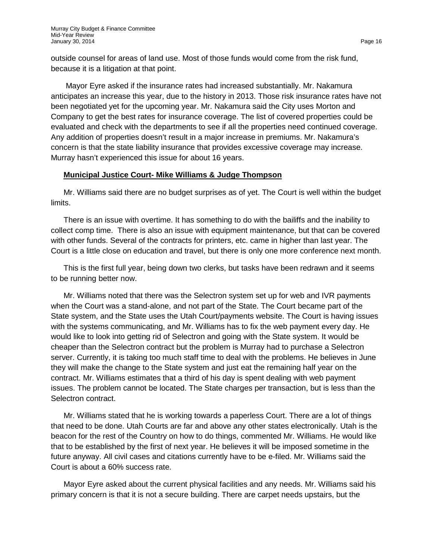outside counsel for areas of land use. Most of those funds would come from the risk fund, because it is a litigation at that point.

Mayor Eyre asked if the insurance rates had increased substantially. Mr. Nakamura anticipates an increase this year, due to the history in 2013. Those risk insurance rates have not been negotiated yet for the upcoming year. Mr. Nakamura said the City uses Morton and Company to get the best rates for insurance coverage. The list of covered properties could be evaluated and check with the departments to see if all the properties need continued coverage. Any addition of properties doesn't result in a major increase in premiums. Mr. Nakamura's concern is that the state liability insurance that provides excessive coverage may increase. Murray hasn't experienced this issue for about 16 years.

### **Municipal Justice Court- Mike Williams & Judge Thompson**

Mr. Williams said there are no budget surprises as of yet. The Court is well within the budget limits.

There is an issue with overtime. It has something to do with the bailiffs and the inability to collect comp time. There is also an issue with equipment maintenance, but that can be covered with other funds. Several of the contracts for printers, etc. came in higher than last year. The Court is a little close on education and travel, but there is only one more conference next month.

This is the first full year, being down two clerks, but tasks have been redrawn and it seems to be running better now.

Mr. Williams noted that there was the Selectron system set up for web and IVR payments when the Court was a stand-alone, and not part of the State. The Court became part of the State system, and the State uses the Utah Court/payments website. The Court is having issues with the systems communicating, and Mr. Williams has to fix the web payment every day. He would like to look into getting rid of Selectron and going with the State system. It would be cheaper than the Selectron contract but the problem is Murray had to purchase a Selectron server. Currently, it is taking too much staff time to deal with the problems. He believes in June they will make the change to the State system and just eat the remaining half year on the contract. Mr. Williams estimates that a third of his day is spent dealing with web payment issues. The problem cannot be located. The State charges per transaction, but is less than the Selectron contract.

Mr. Williams stated that he is working towards a paperless Court. There are a lot of things that need to be done. Utah Courts are far and above any other states electronically. Utah is the beacon for the rest of the Country on how to do things, commented Mr. Williams. He would like that to be established by the first of next year. He believes it will be imposed sometime in the future anyway. All civil cases and citations currently have to be e-filed. Mr. Williams said the Court is about a 60% success rate.

Mayor Eyre asked about the current physical facilities and any needs. Mr. Williams said his primary concern is that it is not a secure building. There are carpet needs upstairs, but the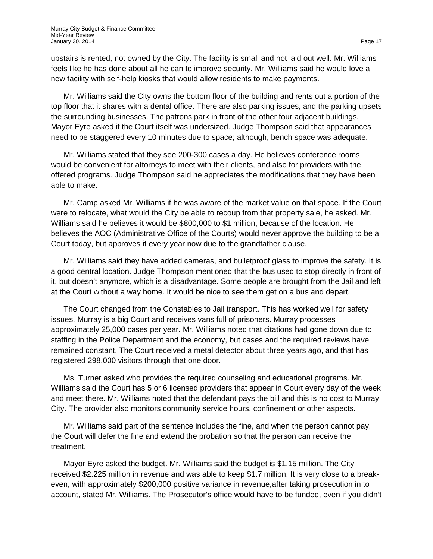upstairs is rented, not owned by the City. The facility is small and not laid out well. Mr. Williams feels like he has done about all he can to improve security. Mr. Williams said he would love a new facility with self-help kiosks that would allow residents to make payments.

Mr. Williams said the City owns the bottom floor of the building and rents out a portion of the top floor that it shares with a dental office. There are also parking issues, and the parking upsets the surrounding businesses. The patrons park in front of the other four adjacent buildings. Mayor Eyre asked if the Court itself was undersized. Judge Thompson said that appearances need to be staggered every 10 minutes due to space; although, bench space was adequate.

Mr. Williams stated that they see 200-300 cases a day. He believes conference rooms would be convenient for attorneys to meet with their clients, and also for providers with the offered programs. Judge Thompson said he appreciates the modifications that they have been able to make.

Mr. Camp asked Mr. Williams if he was aware of the market value on that space. If the Court were to relocate, what would the City be able to recoup from that property sale, he asked. Mr. Williams said he believes it would be \$800,000 to \$1 million, because of the location. He believes the AOC (Administrative Office of the Courts) would never approve the building to be a Court today, but approves it every year now due to the grandfather clause.

Mr. Williams said they have added cameras, and bulletproof glass to improve the safety. It is a good central location. Judge Thompson mentioned that the bus used to stop directly in front of it, but doesn't anymore, which is a disadvantage. Some people are brought from the Jail and left at the Court without a way home. It would be nice to see them get on a bus and depart.

The Court changed from the Constables to Jail transport. This has worked well for safety issues. Murray is a big Court and receives vans full of prisoners. Murray processes approximately 25,000 cases per year. Mr. Williams noted that citations had gone down due to staffing in the Police Department and the economy, but cases and the required reviews have remained constant. The Court received a metal detector about three years ago, and that has registered 298,000 visitors through that one door.

Ms. Turner asked who provides the required counseling and educational programs. Mr. Williams said the Court has 5 or 6 licensed providers that appear in Court every day of the week and meet there. Mr. Williams noted that the defendant pays the bill and this is no cost to Murray City. The provider also monitors community service hours, confinement or other aspects.

Mr. Williams said part of the sentence includes the fine, and when the person cannot pay, the Court will defer the fine and extend the probation so that the person can receive the treatment.

Mayor Eyre asked the budget. Mr. Williams said the budget is \$1.15 million. The City received \$2.225 million in revenue and was able to keep \$1.7 million. It is very close to a breakeven, with approximately \$200,000 positive variance in revenue,after taking prosecution in to account, stated Mr. Williams. The Prosecutor's office would have to be funded, even if you didn't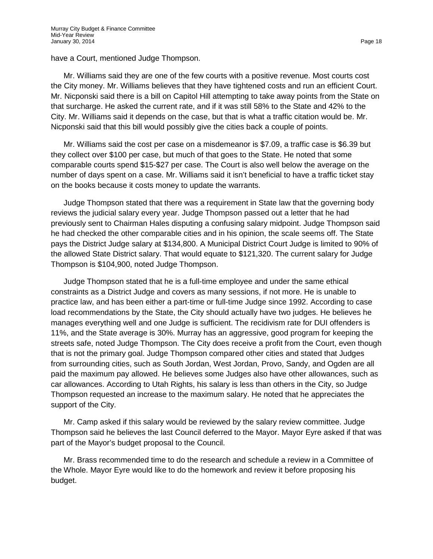have a Court, mentioned Judge Thompson.

Mr. Williams said they are one of the few courts with a positive revenue. Most courts cost the City money. Mr. Williams believes that they have tightened costs and run an efficient Court. Mr. Nicponski said there is a bill on Capitol Hill attempting to take away points from the State on that surcharge. He asked the current rate, and if it was still 58% to the State and 42% to the City. Mr. Williams said it depends on the case, but that is what a traffic citation would be. Mr. Nicponski said that this bill would possibly give the cities back a couple of points.

Mr. Williams said the cost per case on a misdemeanor is \$7.09, a traffic case is \$6.39 but they collect over \$100 per case, but much of that goes to the State. He noted that some comparable courts spend \$15-\$27 per case. The Court is also well below the average on the number of days spent on a case. Mr. Williams said it isn't beneficial to have a traffic ticket stay on the books because it costs money to update the warrants.

Judge Thompson stated that there was a requirement in State law that the governing body reviews the judicial salary every year. Judge Thompson passed out a letter that he had previously sent to Chairman Hales disputing a confusing salary midpoint. Judge Thompson said he had checked the other comparable cities and in his opinion, the scale seems off. The State pays the District Judge salary at \$134,800. A Municipal District Court Judge is limited to 90% of the allowed State District salary. That would equate to \$121,320. The current salary for Judge Thompson is \$104,900, noted Judge Thompson.

Judge Thompson stated that he is a full-time employee and under the same ethical constraints as a District Judge and covers as many sessions, if not more. He is unable to practice law, and has been either a part-time or full-time Judge since 1992. According to case load recommendations by the State, the City should actually have two judges. He believes he manages everything well and one Judge is sufficient. The recidivism rate for DUI offenders is 11%, and the State average is 30%. Murray has an aggressive, good program for keeping the streets safe, noted Judge Thompson. The City does receive a profit from the Court, even though that is not the primary goal. Judge Thompson compared other cities and stated that Judges from surrounding cities, such as South Jordan, West Jordan, Provo, Sandy, and Ogden are all paid the maximum pay allowed. He believes some Judges also have other allowances, such as car allowances. According to Utah Rights, his salary is less than others in the City, so Judge Thompson requested an increase to the maximum salary. He noted that he appreciates the support of the City.

Mr. Camp asked if this salary would be reviewed by the salary review committee. Judge Thompson said he believes the last Council deferred to the Mayor. Mayor Eyre asked if that was part of the Mayor's budget proposal to the Council.

Mr. Brass recommended time to do the research and schedule a review in a Committee of the Whole. Mayor Eyre would like to do the homework and review it before proposing his budget.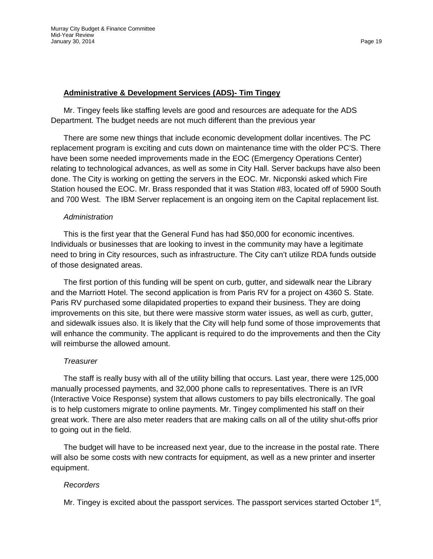## **Administrative & Development Services (ADS)- Tim Tingey**

Mr. Tingey feels like staffing levels are good and resources are adequate for the ADS Department. The budget needs are not much different than the previous year

There are some new things that include economic development dollar incentives. The PC replacement program is exciting and cuts down on maintenance time with the older PC'S. There have been some needed improvements made in the EOC (Emergency Operations Center) relating to technological advances, as well as some in City Hall. Server backups have also been done. The City is working on getting the servers in the EOC. Mr. Nicponski asked which Fire Station housed the EOC. Mr. Brass responded that it was Station #83, located off of 5900 South and 700 West. The IBM Server replacement is an ongoing item on the Capital replacement list.

### *Administration*

This is the first year that the General Fund has had \$50,000 for economic incentives. Individuals or businesses that are looking to invest in the community may have a legitimate need to bring in City resources, such as infrastructure. The City can't utilize RDA funds outside of those designated areas.

The first portion of this funding will be spent on curb, gutter, and sidewalk near the Library and the Marriott Hotel. The second application is from Paris RV for a project on 4360 S. State. Paris RV purchased some dilapidated properties to expand their business. They are doing improvements on this site, but there were massive storm water issues, as well as curb, gutter, and sidewalk issues also. It is likely that the City will help fund some of those improvements that will enhance the community. The applicant is required to do the improvements and then the City will reimburse the allowed amount.

### *Treasurer*

The staff is really busy with all of the utility billing that occurs. Last year, there were 125,000 manually processed payments, and 32,000 phone calls to representatives. There is an IVR (Interactive Voice Response) system that allows customers to pay bills electronically. The goal is to help customers migrate to online payments. Mr. Tingey complimented his staff on their great work. There are also meter readers that are making calls on all of the utility shut-offs prior to going out in the field.

The budget will have to be increased next year, due to the increase in the postal rate. There will also be some costs with new contracts for equipment, as well as a new printer and inserter equipment.

## *Recorders*

Mr. Tingey is excited about the passport services. The passport services started October  $1<sup>st</sup>$ ,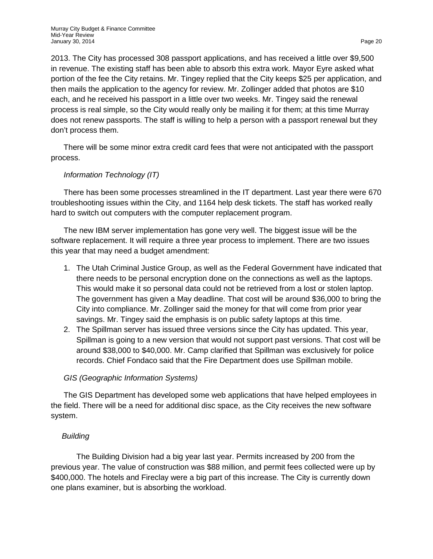2013. The City has processed 308 passport applications, and has received a little over \$9,500 in revenue. The existing staff has been able to absorb this extra work. Mayor Eyre asked what portion of the fee the City retains. Mr. Tingey replied that the City keeps \$25 per application, and then mails the application to the agency for review. Mr. Zollinger added that photos are \$10 each, and he received his passport in a little over two weeks. Mr. Tingey said the renewal process is real simple, so the City would really only be mailing it for them; at this time Murray does not renew passports. The staff is willing to help a person with a passport renewal but they don't process them.

There will be some minor extra credit card fees that were not anticipated with the passport process.

# *Information Technology (IT)*

There has been some processes streamlined in the IT department. Last year there were 670 troubleshooting issues within the City, and 1164 help desk tickets. The staff has worked really hard to switch out computers with the computer replacement program.

The new IBM server implementation has gone very well. The biggest issue will be the software replacement. It will require a three year process to implement. There are two issues this year that may need a budget amendment:

- 1. The Utah Criminal Justice Group, as well as the Federal Government have indicated that there needs to be personal encryption done on the connections as well as the laptops. This would make it so personal data could not be retrieved from a lost or stolen laptop. The government has given a May deadline. That cost will be around \$36,000 to bring the City into compliance. Mr. Zollinger said the money for that will come from prior year savings. Mr. Tingey said the emphasis is on public safety laptops at this time.
- 2. The Spillman server has issued three versions since the City has updated. This year, Spillman is going to a new version that would not support past versions. That cost will be around \$38,000 to \$40,000. Mr. Camp clarified that Spillman was exclusively for police records. Chief Fondaco said that the Fire Department does use Spillman mobile.

## *GIS (Geographic Information Systems)*

The GIS Department has developed some web applications that have helped employees in the field. There will be a need for additional disc space, as the City receives the new software system.

## *Building*

The Building Division had a big year last year. Permits increased by 200 from the previous year. The value of construction was \$88 million, and permit fees collected were up by \$400,000. The hotels and Fireclay were a big part of this increase. The City is currently down one plans examiner, but is absorbing the workload.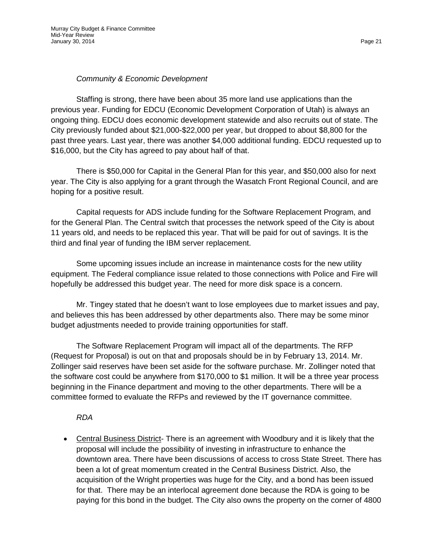## *Community & Economic Development*

Staffing is strong, there have been about 35 more land use applications than the previous year. Funding for EDCU (Economic Development Corporation of Utah) is always an ongoing thing. EDCU does economic development statewide and also recruits out of state. The City previously funded about \$21,000-\$22,000 per year, but dropped to about \$8,800 for the past three years. Last year, there was another \$4,000 additional funding. EDCU requested up to \$16,000, but the City has agreed to pay about half of that.

There is \$50,000 for Capital in the General Plan for this year, and \$50,000 also for next year. The City is also applying for a grant through the Wasatch Front Regional Council, and are hoping for a positive result.

Capital requests for ADS include funding for the Software Replacement Program, and for the General Plan. The Central switch that processes the network speed of the City is about 11 years old, and needs to be replaced this year. That will be paid for out of savings. It is the third and final year of funding the IBM server replacement.

Some upcoming issues include an increase in maintenance costs for the new utility equipment. The Federal compliance issue related to those connections with Police and Fire will hopefully be addressed this budget year. The need for more disk space is a concern.

Mr. Tingey stated that he doesn't want to lose employees due to market issues and pay, and believes this has been addressed by other departments also. There may be some minor budget adjustments needed to provide training opportunities for staff.

The Software Replacement Program will impact all of the departments. The RFP (Request for Proposal) is out on that and proposals should be in by February 13, 2014. Mr. Zollinger said reserves have been set aside for the software purchase. Mr. Zollinger noted that the software cost could be anywhere from \$170,000 to \$1 million. It will be a three year process beginning in the Finance department and moving to the other departments. There will be a committee formed to evaluate the RFPs and reviewed by the IT governance committee.

*RDA*

• Central Business District- There is an agreement with Woodbury and it is likely that the proposal will include the possibility of investing in infrastructure to enhance the downtown area. There have been discussions of access to cross State Street. There has been a lot of great momentum created in the Central Business District. Also, the acquisition of the Wright properties was huge for the City, and a bond has been issued for that. There may be an interlocal agreement done because the RDA is going to be paying for this bond in the budget. The City also owns the property on the corner of 4800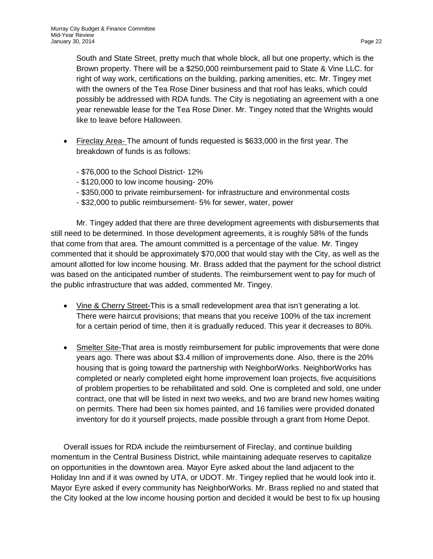South and State Street, pretty much that whole block, all but one property, which is the Brown property. There will be a \$250,000 reimbursement paid to State & Vine LLC. for right of way work, certifications on the building, parking amenities, etc. Mr. Tingey met with the owners of the Tea Rose Diner business and that roof has leaks, which could possibly be addressed with RDA funds. The City is negotiating an agreement with a one year renewable lease for the Tea Rose Diner. Mr. Tingey noted that the Wrights would like to leave before Halloween.

- Fireclay Area- The amount of funds requested is \$633,000 in the first year. The breakdown of funds is as follows:
	- \$76,000 to the School District- 12%
	- \$120,000 to low income housing- 20%
	- \$350,000 to private reimbursement- for infrastructure and environmental costs
	- \$32,000 to public reimbursement- 5% for sewer, water, power

Mr. Tingey added that there are three development agreements with disbursements that still need to be determined. In those development agreements, it is roughly 58% of the funds that come from that area. The amount committed is a percentage of the value. Mr. Tingey commented that it should be approximately \$70,000 that would stay with the City, as well as the amount allotted for low income housing. Mr. Brass added that the payment for the school district was based on the anticipated number of students. The reimbursement went to pay for much of the public infrastructure that was added, commented Mr. Tingey.

- Vine & Cherry Street-This is a small redevelopment area that isn't generating a lot. There were haircut provisions; that means that you receive 100% of the tax increment for a certain period of time, then it is gradually reduced. This year it decreases to 80%.
- Smelter Site-That area is mostly reimbursement for public improvements that were done years ago. There was about \$3.4 million of improvements done. Also, there is the 20% housing that is going toward the partnership with NeighborWorks. NeighborWorks has completed or nearly completed eight home improvement loan projects, five acquisitions of problem properties to be rehabilitated and sold. One is completed and sold, one under contract, one that will be listed in next two weeks, and two are brand new homes waiting on permits. There had been six homes painted, and 16 families were provided donated inventory for do it yourself projects, made possible through a grant from Home Depot.

Overall issues for RDA include the reimbursement of Fireclay, and continue building momentum in the Central Business District, while maintaining adequate reserves to capitalize on opportunities in the downtown area. Mayor Eyre asked about the land adjacent to the Holiday Inn and if it was owned by UTA, or UDOT. Mr. Tingey replied that he would look into it. Mayor Eyre asked if every community has NeighborWorks. Mr. Brass replied no and stated that the City looked at the low income housing portion and decided it would be best to fix up housing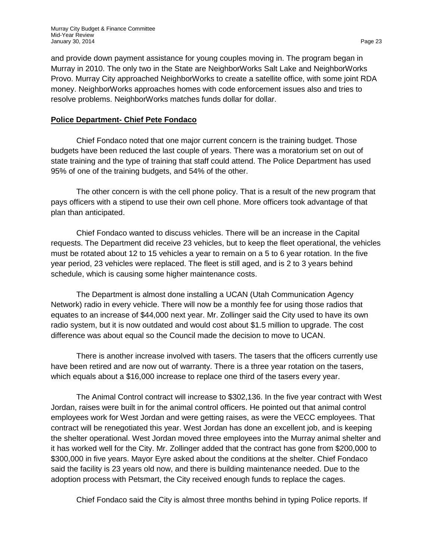and provide down payment assistance for young couples moving in. The program began in Murray in 2010. The only two in the State are NeighborWorks Salt Lake and NeighborWorks Provo. Murray City approached NeighborWorks to create a satellite office, with some joint RDA money. NeighborWorks approaches homes with code enforcement issues also and tries to resolve problems. NeighborWorks matches funds dollar for dollar.

## **Police Department- Chief Pete Fondaco**

Chief Fondaco noted that one major current concern is the training budget. Those budgets have been reduced the last couple of years. There was a moratorium set on out of state training and the type of training that staff could attend. The Police Department has used 95% of one of the training budgets, and 54% of the other.

The other concern is with the cell phone policy. That is a result of the new program that pays officers with a stipend to use their own cell phone. More officers took advantage of that plan than anticipated.

Chief Fondaco wanted to discuss vehicles. There will be an increase in the Capital requests. The Department did receive 23 vehicles, but to keep the fleet operational, the vehicles must be rotated about 12 to 15 vehicles a year to remain on a 5 to 6 year rotation. In the five year period, 23 vehicles were replaced. The fleet is still aged, and is 2 to 3 years behind schedule, which is causing some higher maintenance costs.

The Department is almost done installing a UCAN (Utah Communication Agency Network) radio in every vehicle. There will now be a monthly fee for using those radios that equates to an increase of \$44,000 next year. Mr. Zollinger said the City used to have its own radio system, but it is now outdated and would cost about \$1.5 million to upgrade. The cost difference was about equal so the Council made the decision to move to UCAN.

There is another increase involved with tasers. The tasers that the officers currently use have been retired and are now out of warranty. There is a three year rotation on the tasers, which equals about a \$16,000 increase to replace one third of the tasers every year.

The Animal Control contract will increase to \$302,136. In the five year contract with West Jordan, raises were built in for the animal control officers. He pointed out that animal control employees work for West Jordan and were getting raises, as were the VECC employees. That contract will be renegotiated this year. West Jordan has done an excellent job, and is keeping the shelter operational. West Jordan moved three employees into the Murray animal shelter and it has worked well for the City. Mr. Zollinger added that the contract has gone from \$200,000 to \$300,000 in five years. Mayor Eyre asked about the conditions at the shelter. Chief Fondaco said the facility is 23 years old now, and there is building maintenance needed. Due to the adoption process with Petsmart, the City received enough funds to replace the cages.

Chief Fondaco said the City is almost three months behind in typing Police reports. If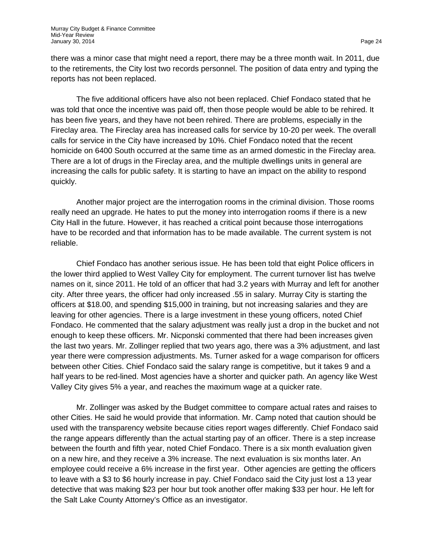there was a minor case that might need a report, there may be a three month wait. In 2011, due to the retirements, the City lost two records personnel. The position of data entry and typing the reports has not been replaced.

The five additional officers have also not been replaced. Chief Fondaco stated that he was told that once the incentive was paid off, then those people would be able to be rehired. It has been five years, and they have not been rehired. There are problems, especially in the Fireclay area. The Fireclay area has increased calls for service by 10-20 per week. The overall calls for service in the City have increased by 10%. Chief Fondaco noted that the recent homicide on 6400 South occurred at the same time as an armed domestic in the Fireclay area. There are a lot of drugs in the Fireclay area, and the multiple dwellings units in general are increasing the calls for public safety. It is starting to have an impact on the ability to respond quickly.

Another major project are the interrogation rooms in the criminal division. Those rooms really need an upgrade. He hates to put the money into interrogation rooms if there is a new City Hall in the future. However, it has reached a critical point because those interrogations have to be recorded and that information has to be made available. The current system is not reliable.

Chief Fondaco has another serious issue. He has been told that eight Police officers in the lower third applied to West Valley City for employment. The current turnover list has twelve names on it, since 2011. He told of an officer that had 3.2 years with Murray and left for another city. After three years, the officer had only increased .55 in salary. Murray City is starting the officers at \$18.00, and spending \$15,000 in training, but not increasing salaries and they are leaving for other agencies. There is a large investment in these young officers, noted Chief Fondaco. He commented that the salary adjustment was really just a drop in the bucket and not enough to keep these officers. Mr. Nicponski commented that there had been increases given the last two years. Mr. Zollinger replied that two years ago, there was a 3% adjustment, and last year there were compression adjustments. Ms. Turner asked for a wage comparison for officers between other Cities. Chief Fondaco said the salary range is competitive, but it takes 9 and a half years to be red-lined. Most agencies have a shorter and quicker path. An agency like West Valley City gives 5% a year, and reaches the maximum wage at a quicker rate.

Mr. Zollinger was asked by the Budget committee to compare actual rates and raises to other Cities. He said he would provide that information. Mr. Camp noted that caution should be used with the transparency website because cities report wages differently. Chief Fondaco said the range appears differently than the actual starting pay of an officer. There is a step increase between the fourth and fifth year, noted Chief Fondaco. There is a six month evaluation given on a new hire, and they receive a 3% increase. The next evaluation is six months later. An employee could receive a 6% increase in the first year. Other agencies are getting the officers to leave with a \$3 to \$6 hourly increase in pay. Chief Fondaco said the City just lost a 13 year detective that was making \$23 per hour but took another offer making \$33 per hour. He left for the Salt Lake County Attorney's Office as an investigator.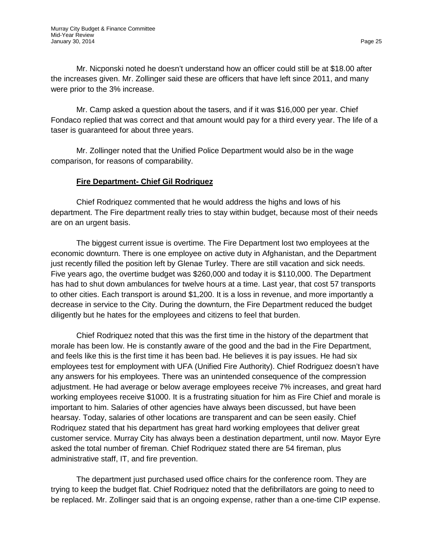Mr. Nicponski noted he doesn't understand how an officer could still be at \$18.00 after the increases given. Mr. Zollinger said these are officers that have left since 2011, and many were prior to the 3% increase.

Mr. Camp asked a question about the tasers, and if it was \$16,000 per year. Chief Fondaco replied that was correct and that amount would pay for a third every year. The life of a taser is guaranteed for about three years.

Mr. Zollinger noted that the Unified Police Department would also be in the wage comparison, for reasons of comparability.

# **Fire Department- Chief Gil Rodriquez**

Chief Rodriquez commented that he would address the highs and lows of his department. The Fire department really tries to stay within budget, because most of their needs are on an urgent basis.

The biggest current issue is overtime. The Fire Department lost two employees at the economic downturn. There is one employee on active duty in Afghanistan, and the Department just recently filled the position left by Glenae Turley. There are still vacation and sick needs. Five years ago, the overtime budget was \$260,000 and today it is \$110,000. The Department has had to shut down ambulances for twelve hours at a time. Last year, that cost 57 transports to other cities. Each transport is around \$1,200. It is a loss in revenue, and more importantly a decrease in service to the City. During the downturn, the Fire Department reduced the budget diligently but he hates for the employees and citizens to feel that burden.

Chief Rodriquez noted that this was the first time in the history of the department that morale has been low. He is constantly aware of the good and the bad in the Fire Department, and feels like this is the first time it has been bad. He believes it is pay issues. He had six employees test for employment with UFA (Unified Fire Authority). Chief Rodriguez doesn't have any answers for his employees. There was an unintended consequence of the compression adjustment. He had average or below average employees receive 7% increases, and great hard working employees receive \$1000. It is a frustrating situation for him as Fire Chief and morale is important to him. Salaries of other agencies have always been discussed, but have been hearsay. Today, salaries of other locations are transparent and can be seen easily. Chief Rodriquez stated that his department has great hard working employees that deliver great customer service. Murray City has always been a destination department, until now. Mayor Eyre asked the total number of fireman. Chief Rodriquez stated there are 54 fireman, plus administrative staff, IT, and fire prevention.

The department just purchased used office chairs for the conference room. They are trying to keep the budget flat. Chief Rodriquez noted that the defibrillators are going to need to be replaced. Mr. Zollinger said that is an ongoing expense, rather than a one-time CIP expense.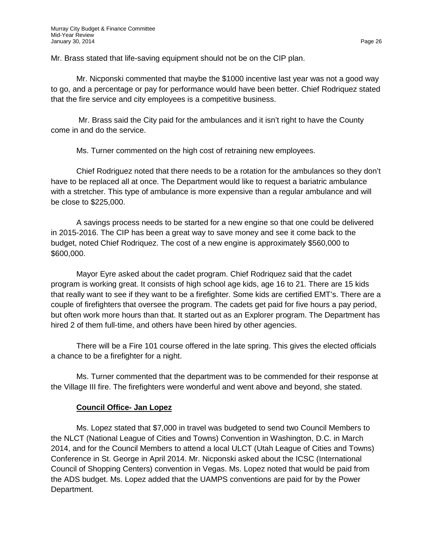Mr. Brass stated that life-saving equipment should not be on the CIP plan.

Mr. Nicponski commented that maybe the \$1000 incentive last year was not a good way to go, and a percentage or pay for performance would have been better. Chief Rodriquez stated that the fire service and city employees is a competitive business.

Mr. Brass said the City paid for the ambulances and it isn't right to have the County come in and do the service.

Ms. Turner commented on the high cost of retraining new employees.

Chief Rodriguez noted that there needs to be a rotation for the ambulances so they don't have to be replaced all at once. The Department would like to request a bariatric ambulance with a stretcher. This type of ambulance is more expensive than a regular ambulance and will be close to \$225,000.

A savings process needs to be started for a new engine so that one could be delivered in 2015-2016. The CIP has been a great way to save money and see it come back to the budget, noted Chief Rodriquez. The cost of a new engine is approximately \$560,000 to \$600,000.

Mayor Eyre asked about the cadet program. Chief Rodriquez said that the cadet program is working great. It consists of high school age kids, age 16 to 21. There are 15 kids that really want to see if they want to be a firefighter. Some kids are certified EMT's. There are a couple of firefighters that oversee the program. The cadets get paid for five hours a pay period, but often work more hours than that. It started out as an Explorer program. The Department has hired 2 of them full-time, and others have been hired by other agencies.

There will be a Fire 101 course offered in the late spring. This gives the elected officials a chance to be a firefighter for a night.

Ms. Turner commented that the department was to be commended for their response at the Village III fire. The firefighters were wonderful and went above and beyond, she stated.

# **Council Office- Jan Lopez**

Ms. Lopez stated that \$7,000 in travel was budgeted to send two Council Members to the NLCT (National League of Cities and Towns) Convention in Washington, D.C. in March 2014, and for the Council Members to attend a local ULCT (Utah League of Cities and Towns) Conference in St. George in April 2014. Mr. Nicponski asked about the ICSC (International Council of Shopping Centers) convention in Vegas. Ms. Lopez noted that would be paid from the ADS budget. Ms. Lopez added that the UAMPS conventions are paid for by the Power Department.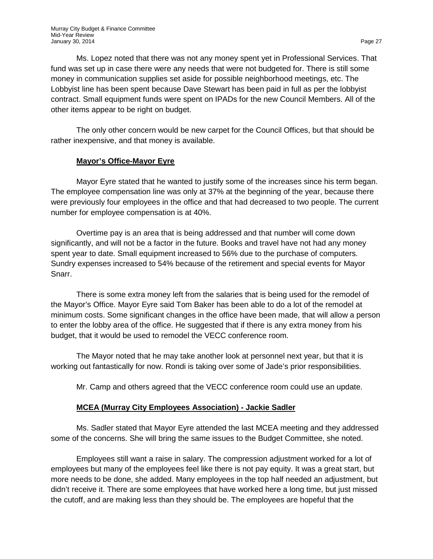Ms. Lopez noted that there was not any money spent yet in Professional Services. That fund was set up in case there were any needs that were not budgeted for. There is still some money in communication supplies set aside for possible neighborhood meetings, etc. The Lobbyist line has been spent because Dave Stewart has been paid in full as per the lobbyist contract. Small equipment funds were spent on IPADs for the new Council Members. All of the other items appear to be right on budget.

The only other concern would be new carpet for the Council Offices, but that should be rather inexpensive, and that money is available.

# **Mayor's Office-Mayor Eyre**

Mayor Eyre stated that he wanted to justify some of the increases since his term began. The employee compensation line was only at 37% at the beginning of the year, because there were previously four employees in the office and that had decreased to two people. The current number for employee compensation is at 40%.

Overtime pay is an area that is being addressed and that number will come down significantly, and will not be a factor in the future. Books and travel have not had any money spent year to date. Small equipment increased to 56% due to the purchase of computers. Sundry expenses increased to 54% because of the retirement and special events for Mayor Snarr.

There is some extra money left from the salaries that is being used for the remodel of the Mayor's Office. Mayor Eyre said Tom Baker has been able to do a lot of the remodel at minimum costs. Some significant changes in the office have been made, that will allow a person to enter the lobby area of the office. He suggested that if there is any extra money from his budget, that it would be used to remodel the VECC conference room.

The Mayor noted that he may take another look at personnel next year, but that it is working out fantastically for now. Rondi is taking over some of Jade's prior responsibilities.

Mr. Camp and others agreed that the VECC conference room could use an update.

## **MCEA (Murray City Employees Association) - Jackie Sadler**

Ms. Sadler stated that Mayor Eyre attended the last MCEA meeting and they addressed some of the concerns. She will bring the same issues to the Budget Committee, she noted.

Employees still want a raise in salary. The compression adjustment worked for a lot of employees but many of the employees feel like there is not pay equity. It was a great start, but more needs to be done, she added. Many employees in the top half needed an adjustment, but didn't receive it. There are some employees that have worked here a long time, but just missed the cutoff, and are making less than they should be. The employees are hopeful that the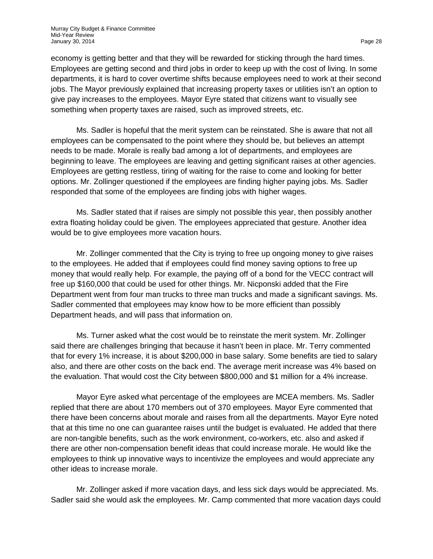economy is getting better and that they will be rewarded for sticking through the hard times. Employees are getting second and third jobs in order to keep up with the cost of living. In some departments, it is hard to cover overtime shifts because employees need to work at their second jobs. The Mayor previously explained that increasing property taxes or utilities isn't an option to give pay increases to the employees. Mayor Eyre stated that citizens want to visually see something when property taxes are raised, such as improved streets, etc.

Ms. Sadler is hopeful that the merit system can be reinstated. She is aware that not all employees can be compensated to the point where they should be, but believes an attempt needs to be made. Morale is really bad among a lot of departments, and employees are beginning to leave. The employees are leaving and getting significant raises at other agencies. Employees are getting restless, tiring of waiting for the raise to come and looking for better options. Mr. Zollinger questioned if the employees are finding higher paying jobs. Ms. Sadler responded that some of the employees are finding jobs with higher wages.

Ms. Sadler stated that if raises are simply not possible this year, then possibly another extra floating holiday could be given. The employees appreciated that gesture. Another idea would be to give employees more vacation hours.

Mr. Zollinger commented that the City is trying to free up ongoing money to give raises to the employees. He added that if employees could find money saving options to free up money that would really help. For example, the paying off of a bond for the VECC contract will free up \$160,000 that could be used for other things. Mr. Nicponski added that the Fire Department went from four man trucks to three man trucks and made a significant savings. Ms. Sadler commented that employees may know how to be more efficient than possibly Department heads, and will pass that information on.

Ms. Turner asked what the cost would be to reinstate the merit system. Mr. Zollinger said there are challenges bringing that because it hasn't been in place. Mr. Terry commented that for every 1% increase, it is about \$200,000 in base salary. Some benefits are tied to salary also, and there are other costs on the back end. The average merit increase was 4% based on the evaluation. That would cost the City between \$800,000 and \$1 million for a 4% increase.

Mayor Eyre asked what percentage of the employees are MCEA members. Ms. Sadler replied that there are about 170 members out of 370 employees. Mayor Eyre commented that there have been concerns about morale and raises from all the departments. Mayor Eyre noted that at this time no one can guarantee raises until the budget is evaluated. He added that there are non-tangible benefits, such as the work environment, co-workers, etc. also and asked if there are other non-compensation benefit ideas that could increase morale. He would like the employees to think up innovative ways to incentivize the employees and would appreciate any other ideas to increase morale.

Mr. Zollinger asked if more vacation days, and less sick days would be appreciated. Ms. Sadler said she would ask the employees. Mr. Camp commented that more vacation days could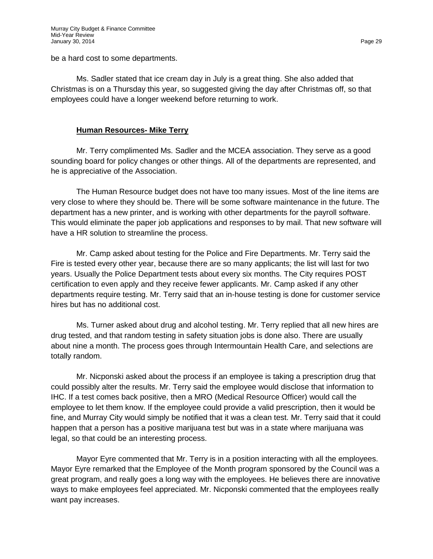be a hard cost to some departments.

Ms. Sadler stated that ice cream day in July is a great thing. She also added that Christmas is on a Thursday this year, so suggested giving the day after Christmas off, so that employees could have a longer weekend before returning to work.

# **Human Resources- Mike Terry**

Mr. Terry complimented Ms. Sadler and the MCEA association. They serve as a good sounding board for policy changes or other things. All of the departments are represented, and he is appreciative of the Association.

The Human Resource budget does not have too many issues. Most of the line items are very close to where they should be. There will be some software maintenance in the future. The department has a new printer, and is working with other departments for the payroll software. This would eliminate the paper job applications and responses to by mail. That new software will have a HR solution to streamline the process.

Mr. Camp asked about testing for the Police and Fire Departments. Mr. Terry said the Fire is tested every other year, because there are so many applicants; the list will last for two years. Usually the Police Department tests about every six months. The City requires POST certification to even apply and they receive fewer applicants. Mr. Camp asked if any other departments require testing. Mr. Terry said that an in-house testing is done for customer service hires but has no additional cost.

Ms. Turner asked about drug and alcohol testing. Mr. Terry replied that all new hires are drug tested, and that random testing in safety situation jobs is done also. There are usually about nine a month. The process goes through Intermountain Health Care, and selections are totally random.

Mr. Nicponski asked about the process if an employee is taking a prescription drug that could possibly alter the results. Mr. Terry said the employee would disclose that information to IHC. If a test comes back positive, then a MRO (Medical Resource Officer) would call the employee to let them know. If the employee could provide a valid prescription, then it would be fine, and Murray City would simply be notified that it was a clean test. Mr. Terry said that it could happen that a person has a positive marijuana test but was in a state where marijuana was legal, so that could be an interesting process.

Mayor Eyre commented that Mr. Terry is in a position interacting with all the employees. Mayor Eyre remarked that the Employee of the Month program sponsored by the Council was a great program, and really goes a long way with the employees. He believes there are innovative ways to make employees feel appreciated. Mr. Nicponski commented that the employees really want pay increases.